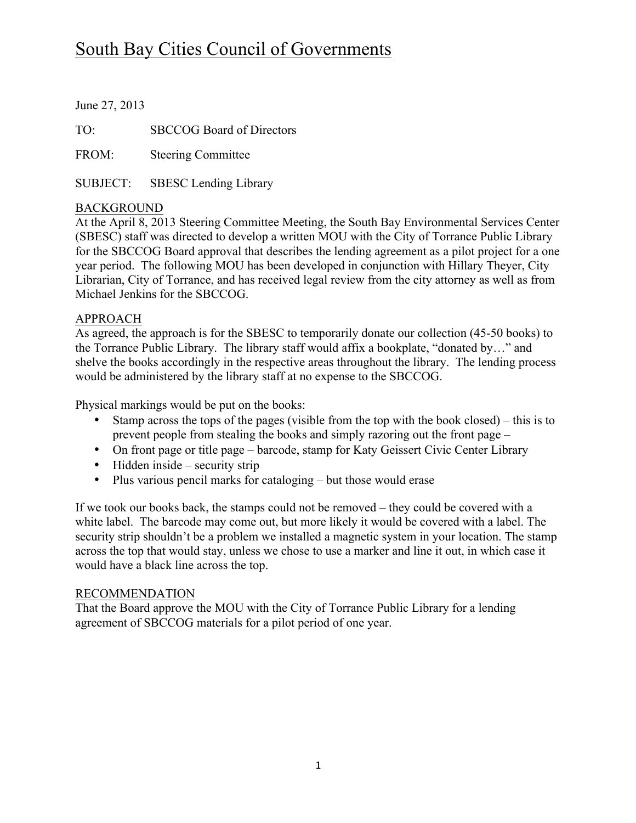# South Bay Cities Council of Governments

June 27, 2013

TO: SBCCOG Board of Directors

FROM: Steering Committee

SUBJECT: SBESC Lending Library

# BACKGROUND

At the April 8, 2013 Steering Committee Meeting, the South Bay Environmental Services Center (SBESC) staff was directed to develop a written MOU with the City of Torrance Public Library for the SBCCOG Board approval that describes the lending agreement as a pilot project for a one year period. The following MOU has been developed in conjunction with Hillary Theyer, City Librarian, City of Torrance, and has received legal review from the city attorney as well as from Michael Jenkins for the SBCCOG.

## APPROACH

As agreed, the approach is for the SBESC to temporarily donate our collection (45-50 books) to the Torrance Public Library. The library staff would affix a bookplate, "donated by…" and shelve the books accordingly in the respective areas throughout the library. The lending process would be administered by the library staff at no expense to the SBCCOG.

Physical markings would be put on the books:

- Stamp across the tops of the pages (visible from the top with the book closed) this is to prevent people from stealing the books and simply razoring out the front page –
- On front page or title page barcode, stamp for Katy Geissert Civic Center Library
- Hidden inside security strip
- Plus various pencil marks for cataloging but those would erase

If we took our books back, the stamps could not be removed – they could be covered with a white label. The barcode may come out, but more likely it would be covered with a label. The security strip shouldn't be a problem we installed a magnetic system in your location. The stamp across the top that would stay, unless we chose to use a marker and line it out, in which case it would have a black line across the top.

## RECOMMENDATION

That the Board approve the MOU with the City of Torrance Public Library for a lending agreement of SBCCOG materials for a pilot period of one year.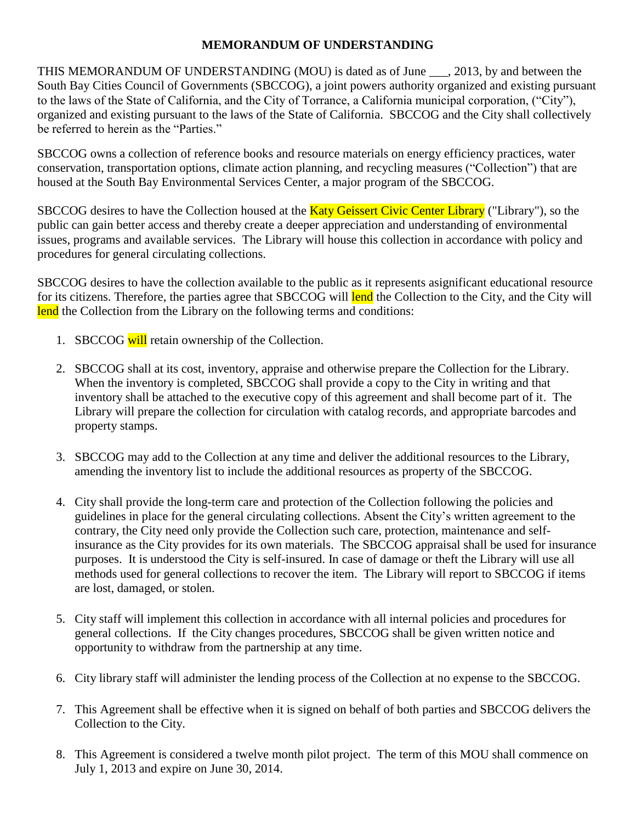#### **MEMORANDUM OF UNDERSTANDING**

THIS MEMORANDUM OF UNDERSTANDING (MOU) is dated as of June \_\_\_, 2013, by and between the South Bay Cities Council of Governments (SBCCOG), a joint powers authority organized and existing pursuant to the laws of the State of California, and the City of Torrance, a California municipal corporation, ("City"), organized and existing pursuant to the laws of the State of California. SBCCOG and the City shall collectively be referred to herein as the "Parties."

SBCCOG owns a collection of reference books and resource materials on energy efficiency practices, water conservation, transportation options, climate action planning, and recycling measures ("Collection") that are housed at the South Bay Environmental Services Center, a major program of the SBCCOG.

SBCCOG desires to have the Collection housed at the **Katy Geissert Civic Center Library** ("Library"), so the public can gain better access and thereby create a deeper appreciation and understanding of environmental issues, programs and available services. The Library will house this collection in accordance with policy and procedures for general circulating collections.

SBCCOG desires to have the collection available to the public as it represents asignificant educational resource for its citizens. Therefore, the parties agree that SBCCOG will lend the Collection to the City, and the City will lend the Collection from the Library on the following terms and conditions:

- 1. SBCCOG will retain ownership of the Collection.
- 2. SBCCOG shall at its cost, inventory, appraise and otherwise prepare the Collection for the Library. When the inventory is completed, SBCCOG shall provide a copy to the City in writing and that inventory shall be attached to the executive copy of this agreement and shall become part of it. The Library will prepare the collection for circulation with catalog records, and appropriate barcodes and property stamps.
- 3. SBCCOG may add to the Collection at any time and deliver the additional resources to the Library, amending the inventory list to include the additional resources as property of the SBCCOG.
- 4. City shall provide the long-term care and protection of the Collection following the policies and guidelines in place for the general circulating collections. Absent the City's written agreement to the contrary, the City need only provide the Collection such care, protection, maintenance and selfinsurance as the City provides for its own materials. The SBCCOG appraisal shall be used for insurance purposes. It is understood the City is self-insured. In case of damage or theft the Library will use all methods used for general collections to recover the item. The Library will report to SBCCOG if items are lost, damaged, or stolen.
- 5. City staff will implement this collection in accordance with all internal policies and procedures for general collections. If the City changes procedures, SBCCOG shall be given written notice and opportunity to withdraw from the partnership at any time.
- 6. City library staff will administer the lending process of the Collection at no expense to the SBCCOG.
- 7. This Agreement shall be effective when it is signed on behalf of both parties and SBCCOG delivers the Collection to the City.
- 8. This Agreement is considered a twelve month pilot project. The term of this MOU shall commence on July 1, 2013 and expire on June 30, 2014.